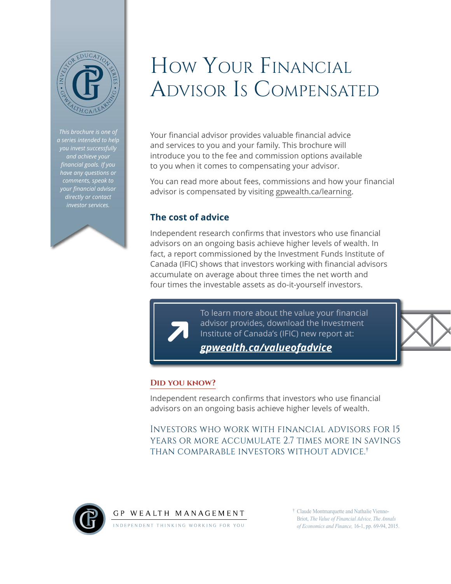

*This brochure is one of a series intended to help and achieve your financial goals. If you have any questions or comments, speak to your financial advisor directly or contact investor services.*



# How Your Financial Advisor Is Compensated

Your financial advisor provides valuable financial advice and services to you and your family. This brochure will introduce you to the fee and commission options available to you when it comes to compensating your advisor.

You can read more about fees, commissions and how your financial advisor is compensated by visiting [gpwealth.ca/learning](http://gpwealth.ca/learning).

## **The cost of advice**

Independent research confirms that investors who use financial advisors on an ongoing basis achieve higher levels of wealth. In fact, a report commissioned by the Investment Funds Institute of Canada (IFIC) shows that investors working with financial advisors accumulate on average about three times the net worth and four times the investable assets as do-it-yourself investors.

> To learn more about the value your financial advisor provides, download the Investment Institute of Canada's (IFIC) new report at:

*[gpwealth.ca/valueofadvice](http://gpwealth.ca/valueofadvice)*



## **Did you know?**

Independent research confirms that investors who use financial advisors on an ongoing basis achieve higher levels of wealth.

Investors who work with financial advisors for 15 years or more accumulate 2.7 times more in savings than comparable investors without advice.†



† Claude Montmarquette and Nathalie Vienno-Briot, *The Value of Financial Advice, The Annals of Economics and Finance,* 16-1, pp. 69-94, 2015.